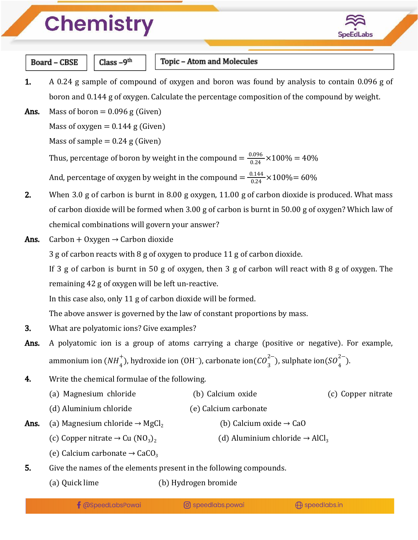## **Chemistry**



**Board - CBSE** 

 $Class - 9<sup>th</sup>$ 

#### Topic - Atom and Molecules

1. A 0.24 g sample of compound of oxygen and boron was found by analysis to contain 0.096 g of boron and 0.144 g of oxygen. Calculate the percentage composition of the compound by weight.

**Ans.** Mass of boron  $= 0.096$  g (Given)

Mass of oxygen  $= 0.144$  g (Given)

Mass of sample  $= 0.24$  g (Given)

Thus, percentage of boron by weight in the compound  $=\frac{0.096}{0.24} \times 100\% = 40\%$ 

And, percentage of oxygen by weight in the compound  $=\frac{0.144}{0.24} \times 100\% = 60\%$ 

- 2. When 3.0 g of carbon is burnt in 8.00 g oxygen, 11.00 g of carbon dioxide is produced. What mass of carbon dioxide will be formed when 3.00 g of carbon is burnt in 50.00 g of oxygen? Which law of chemical combinations will govern your answer?
- Ans. Carbon + Oxygen  $\rightarrow$  Carbon dioxide

3 g of carbon reacts with 8 g of oxygen to produce 11 g of carbon dioxide.

If 3 g of carbon is burnt in 50 g of oxygen, then 3 g of carbon will react with 8 g of oxygen. The remaining 42 g of oxygen will be left un-reactive.

In this case also, only 11 g of carbon dioxide will be formed.

The above answer is governed by the law of constant proportions by mass.

- **3.** What are polyatomic ions? Give examples?
- Ans. A polyatomic ion is a group of atoms carrying a charge (positive or negative). For example, ammonium ion ( $NH_4^{\dagger}$ ), hydroxide ion (OH<sup>-</sup>), carbonate ion( $CO_3^{2-}$ ), sulphate ion( $SO_4^{2-}$ ).  $_4^+$ ), hydroxide ion (OH¯), carbonate ion(CO $_3^{2-}$ ), sulphate ion(SO $_4^{2-}$  $\binom{2}{4}$ .
- 4. Write the chemical formulae of the following.
	- (a) Magnesium chloride (b) Calcium oxide (c) Copper nitrate (d) Aluminium chloride (e) Calcium carbonate
- Ans. (a) Magnesium chloride → MgCl<sub>2</sub> (b) Calcium oxide → CaO
	- (c) Copper nitrate  $\rightarrow$  Cu (NO<sub>3</sub>)<sub>2</sub> (d) Aluminium chloride  $\rightarrow$  AlCl<sub>3</sub>
	- (e) Calcium carbonate  $\rightarrow$  CaCO<sub>3</sub>
- 5. Give the names of the elements present in the following compounds.
	- (a) Quick lime (b) Hydrogen bromide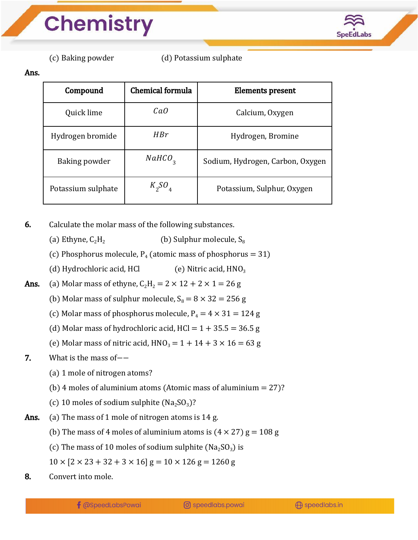

(c) Baking powder (d) Potassium sulphate

#### Ans.

| Compound           | Chemical formula   | Elements present                 |
|--------------------|--------------------|----------------------------------|
| Quick lime         | CaO                | Calcium, Oxygen                  |
| Hydrogen bromide   | HBr                | Hydrogen, Bromine                |
| Baking powder      | NAHCO <sub>2</sub> | Sodium, Hydrogen, Carbon, Oxygen |
| Potassium sulphate | $K_2SO_4$          | Potassium, Sulphur, Oxygen       |

6. Calculate the molar mass of the following substances.

- (a) Ethyne,  $C_2H_2$  (b) Sulphur molecule,  $S_8$
- (c) Phosphorus molecule,  $P_4$  (atomic mass of phosphorus = 31)
- (d) Hydrochloric acid, HCl  $\qquad$  (e) Nitric acid,  $HNO<sub>3</sub>$

**Ans.** (a) Molar mass of ethyne,  $C_2H_2 = 2 \times 12 + 2 \times 1 = 26$  g

- (b) Molar mass of sulphur molecule,  $S_8 = 8 \times 32 = 256$  g
- (c) Molar mass of phosphorus molecule,  $P_4 = 4 \times 31 = 124$  g
- (d) Molar mass of hydrochloric acid,  $HCl = 1 + 35.5 = 36.5 g$
- (e) Molar mass of nitric acid,  $HNO<sub>3</sub> = 1 + 14 + 3 \times 16 = 63$  g

### 7. What is the mass of-−

- (a) 1 mole of nitrogen atoms?
- (b) 4 moles of aluminium atoms (Atomic mass of aluminium  $= 27$ )?
- (c) 10 moles of sodium sulphite  $(Na_2SO_3)$ ?
- Ans. (a) The mass of 1 mole of nitrogen atoms is 14 g.
	- (b) The mass of 4 moles of aluminium atoms is  $(4 \times 27)$  g = 108 g
	- (c) The mass of 10 moles of sodium sulphite ( $Na<sub>2</sub>SO<sub>3</sub>$ ) is
	- $10 \times [2 \times 23 + 32 + 3 \times 16]$  g =  $10 \times 126$  g = 1260 g
- 8. Convert into mole.